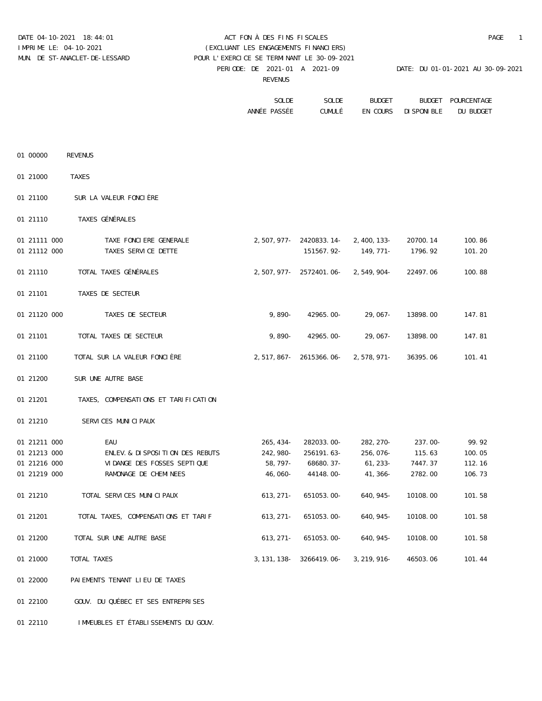# DATE 04-10-2021 18:44:01 ACT FON À DES FINS FISCALES PAGE 1 IMPRIME LE: 04-10-2021 (EXCLUANT LES ENGAGEMENTS FINANCIERS) MUN. DE ST-ANACLET-DE-LESSARD POUR L'EXERCICE SE TERMINANT LE 30-09-2021

PERIODE: DE 2021-01 A 2021-09 DATE: DU 01-01-2021 AU 30-09-2021

REVENUS

| POURCENTAGE | BUDGET                     | BUDGET | SOLDE | SOLDE        |
|-------------|----------------------------|--------|-------|--------------|
| DU BUDGET   | CUMULÉ EN COURS DISPONIBLE |        |       | ANNÉE PASSÉE |

| 01 00000     | REVENUS     |                                                                    |                                   |         |                                                   |        |
|--------------|-------------|--------------------------------------------------------------------|-----------------------------------|---------|---------------------------------------------------|--------|
| 01 21000     | TAXES       |                                                                    |                                   |         |                                                   |        |
| 01 21100     |             | SUR LA VALEUR FONCIÈRE                                             |                                   |         |                                                   |        |
| 01 21110     |             | TAXES GÉNÉRALES                                                    |                                   |         |                                                   |        |
| 01 21111 000 |             | TAXE FONCIERE GENERALE                                             |                                   |         | 2,507,977- 2420833.14- 2,400,133- 20700.14        | 100.86 |
| 01 21112 000 |             | TAXES SERVICE DETTE                                                |                                   |         | 151567.92- 149,771- 1796.92                       | 101.20 |
|              |             |                                                                    |                                   |         |                                                   |        |
| 01 21110     |             | TOTAL TAXES GÉNÉRALES                                              | 2,507,977- 2572401.06- 2,549,904- |         | 22497.06                                          | 100.88 |
| 01 21101     |             | TAXES DE SECTEUR                                                   |                                   |         |                                                   |        |
| 01 21120 000 |             | TAXES DE SECTEUR                                                   | $9,890 - 42965.00 - 29,067 -$     |         | 13898.00                                          | 147.81 |
| 01 21101     |             | TOTAL TAXES DE SECTEUR                                             | $9,890 - 42965.00 - 29,067 -$     |         | 13898.00                                          | 147.81 |
| 01 21100     |             | TOTAL SUR LA VALEUR FONCIÈRE                                       | 2,517,867- 2615366.06- 2,578,971- |         | 36395.06                                          | 101.41 |
| 01 21200     |             | SUR UNE AUTRE BASE                                                 |                                   |         |                                                   |        |
| 01 21201     |             | TAXES, COMPENSATIONS ET TARIFICATION                               |                                   |         |                                                   |        |
| 01 21210     |             | SERVICES MUNICIPAUX                                                |                                   |         |                                                   |        |
| 01 21211 000 |             | EAU                                                                |                                   |         | $265,434 - 282033.00 - 282,270 - 237.00 -$        | 99.92  |
| 01 21213 000 |             | ENLEV.& DISPOSITION DES REBUTS                                     | 242,980- 256191.63- 256,076-      |         | 115.63                                            | 100.05 |
| 01 21216 000 |             | VIDANGE DES FOSSES SEPTIQUE                                        | 58,797- 68680.37-                 | 61,233- | 7447.37                                           | 112.16 |
| 01 21219 000 |             | RAMONAGE DE CHEMINEES                                              | 46,060-44148.00-                  | 41,366- | 2782.00                                           | 106.73 |
| 01 21210     |             | TOTAL SERVICES MUNICIPAUX                                          | 613, 271 - 651053.00 - 640, 945 - |         | 10108.00                                          | 101.58 |
| 01 21201     |             | TOTAL TAXES, COMPENSATIONS ET TARIF 613, 271- 651053.00- 640, 945- |                                   |         | 10108.00                                          | 101.58 |
| 01 21200     |             | TOTAL SUR UNE AUTRE BASE                                           | $613,271 - 651053.00 - 640,945 -$ |         | 10108.00                                          | 101.58 |
| 01 21000     | TOTAL TAXES |                                                                    |                                   |         | 3, 131, 138 - 3266419.06 - 3, 219, 916 - 46503.06 | 101.44 |
| 01 22000     |             | PAIEMENTS TENANT LIEU DE TAXES                                     |                                   |         |                                                   |        |
| 01 22100     |             | GOUV. DU QUÉBEC ET SES ENTREPRISES                                 |                                   |         |                                                   |        |
| 01 22110     |             | IMMEUBLES ET ÉTABLISSEMENTS DU GOUV.                               |                                   |         |                                                   |        |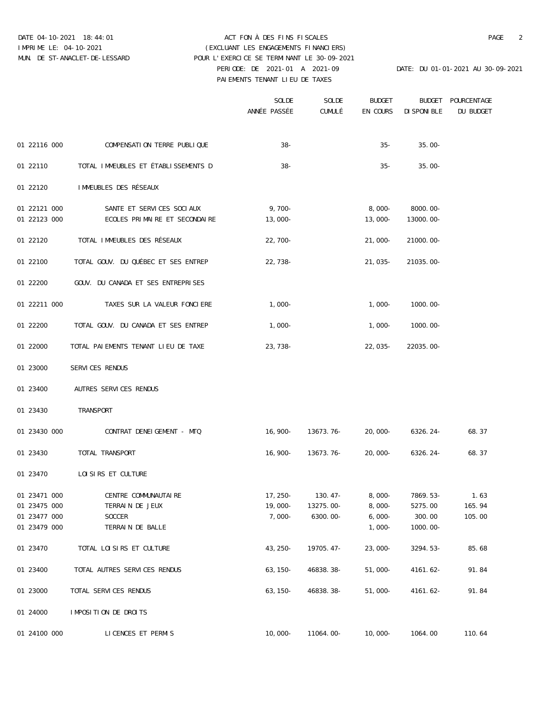### DATE 04-10-2021 18:44:01 ACT FON À DES FINS FISCALES PAGE 2 PERIODE: DE 2021-01 A 2021-09 DATE: DU 01-01-2021 AU 30-09-2021 PAIEMENTS TENANT LIEU DE TAXES IMPRIME LE: 04-10-2021 (EXCLUANT LES ENGAGEMENTS FINANCIERS) MUN. DE ST-ANACLET-DE-LESSARD POUR L'EXERCICE SE TERMINANT LE 30-09-2021

|                    |                                              | SOLDE<br>ANNÉE PASSÉE CUMULÉ EN COURS DISPONIBLE | SOLDE                                          | <b>BUDGET</b> |                       | BUDGET POURCENTAGE<br>DU BUDGET |
|--------------------|----------------------------------------------|--------------------------------------------------|------------------------------------------------|---------------|-----------------------|---------------------------------|
|                    |                                              |                                                  |                                                |               |                       |                                 |
|                    | 01 22116 000 COMPENSATION TERRE PUBLIQUE     | $38 -$                                           |                                                |               | $35 - 35.00 -$        |                                 |
|                    | 01 22110 TOTAL IMMEUBLES ET ÉTABLISSEMENTS D | $38 -$                                           |                                                | $35-$         | $35.00 -$             |                                 |
|                    | 01 22120 IMMEUBLES DES RÉSEAUX               |                                                  |                                                |               |                       |                                 |
|                    | 01 22121 000 SANTE ET SERVICES SOCIAUX       | $9,700-$                                         |                                                |               | $8,000 - 8000.00 -$   |                                 |
|                    | 01 22123 000 ECOLES PRIMAIRE ET SECONDAIRE   | 13,000-                                          |                                                |               | $13,000-13000.00-$    |                                 |
|                    | 01 22120 TOTAL IMMEUBLES DES RÉSEAUX         | 22,700-                                          |                                                |               | $21,000 - 21000.00 -$ |                                 |
| 01 22100           | TOTAL GOUV. DU QUÉBEC ET SES ENTREP          | 22,738-                                          |                                                |               | $21,035 - 21035.00 -$ |                                 |
|                    | 01 22200 GOUV. DU CANADA ET SES ENTREPRISES  |                                                  |                                                |               |                       |                                 |
|                    | 01 22211 000 TAXES SUR LA VALEUR FONCIERE    | $1,000-$                                         |                                                |               | $1,000-1000.00-$      |                                 |
|                    | 01 22200 TOTAL GOUV. DU CANADA ET SES ENTREP | $1,000-$                                         |                                                |               | $1,000-1000.00-$      |                                 |
| 01 22000           | TOTAL PAIEMENTS TENANT LIEU DE TAXE          | 23,738-                                          |                                                |               | $22,035 - 22035.00 -$ |                                 |
| 01 23000           | SERVICES RENDUS                              |                                                  |                                                |               |                       |                                 |
| 01 23400           | AUTRES SERVICES RENDUS                       |                                                  |                                                |               |                       |                                 |
| 01 23430 TRANSPORT |                                              |                                                  |                                                |               |                       |                                 |
|                    | 01 23430 000 CONTRAT DENEIGEMENT - MTQ       |                                                  | $16,900 - 13673.76 - 20,000 - 6326.24 - 68.37$ |               |                       |                                 |
|                    | 01 23430 TOTAL TRANSPORT                     |                                                  | 16,900- 13673.76- 20,000- 6326.24-             |               |                       | 68.37                           |
|                    | 01 23470 LOISIRS ET CULTURE                  |                                                  |                                                |               |                       |                                 |
| 01 23471 000       | CENTRE COMMUNAUTAIRE                         | 17,250-                                          | 130.47-                                        | $8,000-$      | $7869.53-$            | 1.63                            |
| 01 23475 000       | TERRAIN DE JEUX                              | $19,000-$                                        | 13275.00-                                      | $8,000-$      | 5275.00               | 165.94                          |
| 01 23477 000       | SOCCER                                       | 7,000-                                           | 6300.00-                                       | $6,000-$      | 300.00                | 105.00                          |
| 01 23479 000       | TERRAIN DE BALLE                             |                                                  |                                                | $1,000-$      | $1000.00 -$           |                                 |
| 01 23470           | TOTAL LOISIRS ET CULTURE                     | 43,250-                                          | 19705.47-                                      | $23,000-$     | $3294.53-$            | 85.68                           |
| 01 23400           | TOTAL AUTRES SERVICES RENDUS                 | $63,150-$                                        | 46838.38-                                      | $51,000-$     | $4161.62-$            | 91.84                           |
| 01 23000           | TOTAL SERVICES RENDUS                        | $63,150-$                                        | 46838.38-                                      | $51,000-$     | $4161.62-$            | 91.84                           |
| 01 24000           | IMPOSITION DE DROITS                         |                                                  |                                                |               |                       |                                 |
| 01 24100 000       | LICENCES ET PERMIS                           |                                                  | $10,000 - 11064.00 -$                          | 10,000-       | 1064.00               | 110.64                          |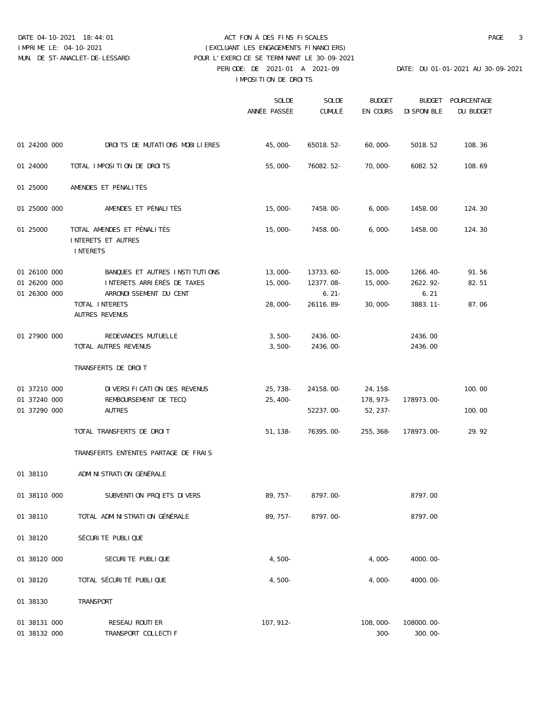### DATE 04-10-2021 18:44:01 ACT FON À DES FINS FISCALES PAGE 3 PERIODE: DE 2021-01 A 2021-09 DATE: DU 01-01-2021 AU 30-09-2021 IMPOSITION DE DROITS IMPRIME LE: 04-10-2021 (EXCLUANT LES ENGAGEMENTS FINANCIERS) MUN. DE ST-ANACLET-DE-LESSARD POUR L'EXERCICE SE TERMINANT LE 30-09-2021

|              |              |                                             | SOLDE<br>ANNÉE PASSÉE CUMULÉ EN COURS DISPONIBLE | SOLDE                                    | BUDGET            |                     | BUDGET POURCENTAGE<br>DU BUDGET |
|--------------|--------------|---------------------------------------------|--------------------------------------------------|------------------------------------------|-------------------|---------------------|---------------------------------|
|              |              |                                             |                                                  |                                          |                   |                     |                                 |
|              |              | 01 24200 000 DROITS DE MUTATIONS MOBILIERES | 45,000-                                          |                                          | 65018.52- 60,000- | 5018.52             | 108.36                          |
| 01 24000     |              | TOTAL IMPOSITION DE DROITS                  | $55,000-$                                        | 76082.52-                                | 70,000-           | 6082.52             | 108.69                          |
| 01 25000     |              | AMENDES ET PÉNALITÉS                        |                                                  |                                          |                   |                     |                                 |
|              | 01 25000 000 | AMENDES ET PÉNALITÉS                        |                                                  | $15,000-7458.00-$                        | $6,000-$          | 1458.00             | 124.30                          |
| 01 25000     |              | TOTAL AMENDES ET PÉNALITÉS                  |                                                  | $15,000-7458.00-$                        | 6,000-            | 1458.00             | 124.30                          |
|              |              | INTERETS ET AUTRES                          |                                                  |                                          |                   |                     |                                 |
|              |              | INTERETS                                    |                                                  |                                          |                   |                     |                                 |
| 01 26100 000 |              | BANQUES ET AUTRES INSTITUTIONS              | 13,000-                                          | 13733.60-                                | 15,000-           | 1266.40-            | 91.56                           |
| 01 26200 000 |              | INTERETS ARRIÉRÉS DE TAXES                  |                                                  | 15,000- 12377.08- 15,000-                |                   | 2622.92-            | 82.51                           |
| 01 26300 000 |              | ARRONDISSEMENT DU CENT                      |                                                  | $6.21 -$                                 |                   | 6.21                |                                 |
|              |              | TOTAL INTERETS<br>AUTRES REVENUS            | $28,000-$                                        |                                          | 26116.89- 30,000- | 3883.11-            | 87.06                           |
|              | 01 27900 000 | REDEVANCES MUTUELLE                         |                                                  | $3,500 - 2436.00 -$                      |                   | 2436.00             |                                 |
|              |              | TOTAL AUTRES REVENUS                        |                                                  | $3,500 - 2436.00 -$                      |                   | 2436.00             |                                 |
|              |              | TRANSFERTS DE DROIT                         |                                                  |                                          |                   |                     |                                 |
| 01 37210 000 |              | DIVERSIFICATION DES REVENUS                 |                                                  | 25,738-24158.00-24,158-                  |                   |                     | 100.00                          |
| 01 37240 000 |              | REMBOURSEMENT DE TECQ                       | 25,400-                                          |                                          |                   | 178,973- 178973.00- |                                 |
| 01 37290 000 |              | AUTRES                                      |                                                  | 52237.00-                                | 52,237-           |                     | 100.00                          |
|              |              | TOTAL TRANSFERTS DE DROIT                   |                                                  | $51,138$ - 76395.00- 255,368- 178973.00- |                   |                     | 29.92                           |
|              |              | TRANSFERTS ENTENTES PARTAGE DE FRAIS        |                                                  |                                          |                   |                     |                                 |
| 01 38110     |              | ADMINISTRATION GÉNÉRALE                     |                                                  |                                          |                   |                     |                                 |
| 01 38110 000 |              | SUBVENTION PROJETS DIVERS                   | 89,757-                                          | $8797.00 -$                              |                   | 8797.00             |                                 |
| 01 38110     |              | TOTAL ADMINISTRATION GÉNÉRALE               | 89,757-                                          | $8797.00 -$                              |                   | 8797.00             |                                 |
| 01 38120     |              | SÉCURITÉ PUBLIQUE                           |                                                  |                                          |                   |                     |                                 |
| 01 38120 000 |              | SECURITE PUBLIQUE                           | $4,500-$                                         |                                          | $4,000-$          | $4000.00 -$         |                                 |
| 01 38120     |              | TOTAL SÉCURITÉ PUBLIQUE                     | $4,500-$                                         |                                          | $4,000-$          | $4000.00 -$         |                                 |
| 01 38130     |              | TRANSPORT                                   |                                                  |                                          |                   |                     |                                 |
|              |              |                                             |                                                  |                                          |                   |                     |                                 |
| 01 38131 000 |              | RESEAU ROUTIER                              | $107,912-$                                       |                                          | 108,000-          | 108000.00-          |                                 |
| 01 38132 000 |              | TRANSPORT COLLECTIF                         |                                                  |                                          | $300 -$           | $300.00 -$          |                                 |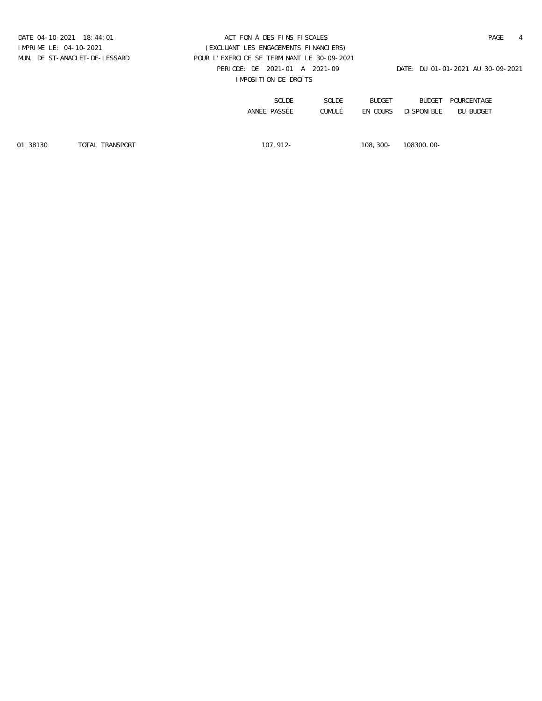### DATE 04-10-2021 18:44:01 ACT FON À DES FINS FISCALES PAGE 4 PERIODE: DE 2021-01 A 2021-09 DATE: DU 01-01-2021 AU 30-09-2021 IMPOSITION DE DROITS IMPRIME LE: 04-10-2021 (EXCLUANT LES ENGAGEMENTS FINANCIERS) MUN. DE ST-ANACLET-DE-LESSARD POUR L'EXERCICE SE TERMINANT LE 30-09-2021

| POURCENTAGE | BUDGET              | BUDGET | SOLDE  | SOLDE        |
|-------------|---------------------|--------|--------|--------------|
| DU BUDGET   | EN COURS DISPONIBLE |        | CUMULÉ | ANNÉE PASSÉE |

01 38130 TOTAL TRANSPORT 107,912- 108,300- 108300.00-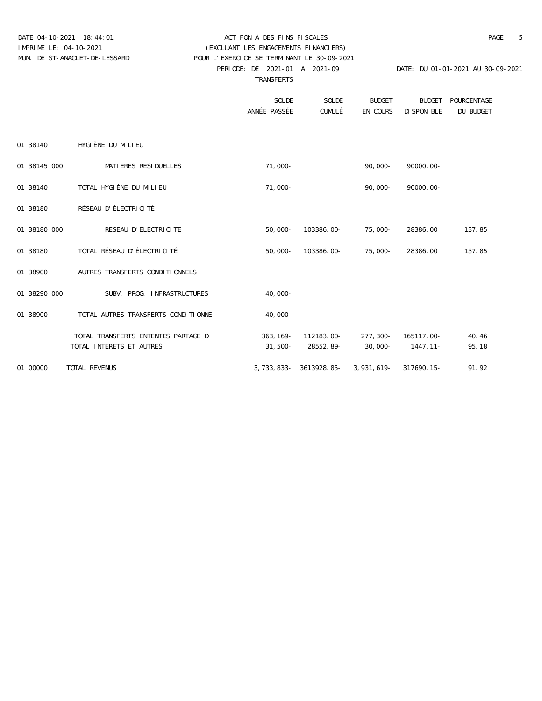### DATE 04-10-2021 18:44:01 ACT FON À DES FINS FISCALES PAGE 5 PERIODE: DE 2021-01 A 2021-09 DATE: DU 01-01-2021 AU 30-09-2021 IMPRIME LE: 04-10-2021 (EXCLUANT LES ENGAGEMENTS FINANCIERS) MUN. DE ST-ANACLET-DE-LESSARD POUR L'EXERCICE SE TERMINANT LE 30-09-2021

TRANSFERTS

|              |                                     | SOLDE<br>ANNÉE PASSÉE | SOLDE<br>CUMULÉ                               | <b>BUDGET</b><br>EN COURS | <b>BUDGET</b><br>DISPONIBLE | POURCENTAGE<br>DU BUDGET |
|--------------|-------------------------------------|-----------------------|-----------------------------------------------|---------------------------|-----------------------------|--------------------------|
| 01 38140     | HYGIÈNE DU MILIEU                   |                       |                                               |                           |                             |                          |
| 01 38145 000 | MATIERES RESIDUELLES                | $71,000-$             |                                               | $90,000 -$                | $90000.00 -$                |                          |
| 01 38140     | TOTAL HYGIÈNE DU MILIEU             | $71,000-$             |                                               | $90,000-$                 | $90000.00 -$                |                          |
| 01 38180     | RÉSEAU D'ÉLECTRICITÉ                |                       |                                               |                           |                             |                          |
| 01 38180 000 | RESEAU D'ELECTRICITE                |                       | 50,000- 103386.00- 75,000- 28386.00           |                           |                             | 137.85                   |
| 01 38180     | TOTAL RÉSEAU D'ÉLECTRICITÉ          |                       | 50,000- 103386.00- 75,000-                    |                           | 28386.00                    | 137.85                   |
| 01 38900     | AUTRES TRANSFERTS CONDITIONNELS     |                       |                                               |                           |                             |                          |
| 01 38290 000 | SUBV. PROG. INFRASTRUCTURES         | $40,000-$             |                                               |                           |                             |                          |
| 01 38900     | TOTAL AUTRES TRANSFERTS CONDITIONNE | $40,000-$             |                                               |                           |                             |                          |
|              | TOTAL TRANSFERTS ENTENTES PARTAGE D |                       | 363, 169 - 112183.00 - 277, 300 - 165117.00 - |                           |                             | 40.46                    |
|              | TOTAL INTERETS ET AUTRES            |                       | $31,500 - 28552.89 - 30,000 -$                |                           | 1447.11-                    | 95.18                    |
| 01 00000     | TOTAL REVENUS                       |                       | 3,733,833- 3613928.85-                        | 3,931,619-                | 317690.15-                  | 91.92                    |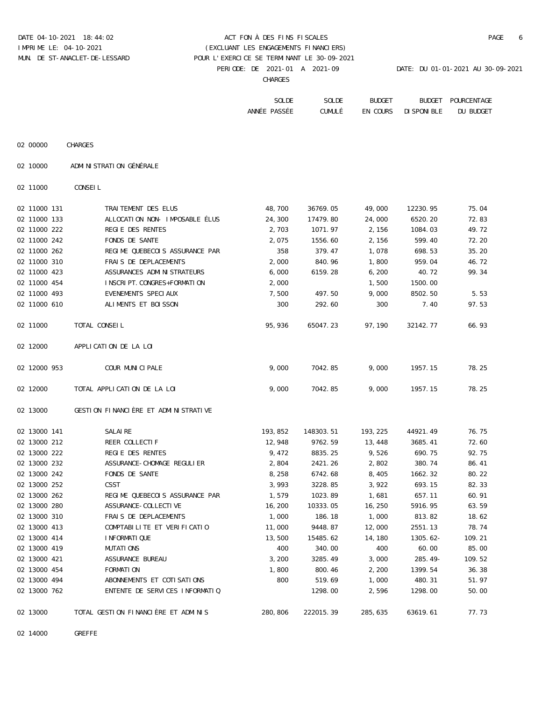## DATE 04-10-2021 18:44:02 ACT FON À DES FINS FISCALES PAGE 6 IMPRIME LE: 04-10-2021 (EXCLUANT LES ENGAGEMENTS FINANCIERS) MUN. DE ST-ANACLET-DE-LESSARD POUR L'EXERCICE SE TERMINANT LE 30-09-2021

PERIODE: DE 2021-01 A 2021-09 DATE: DU 01-01-2021 AU 30-09-2021

**CHARGES CHARGES** 

| $\overline{ }$ | GAT | <b>DIDADE</b> | pripang painapymaan |  |
|----------------|-----|---------------|---------------------|--|
|                |     |               |                     |  |
|                |     |               |                     |  |
|                |     |               |                     |  |

| SOLDE         | SOLDE  | ≕טשט       | <b>RIIDGET</b> | <b>FNTACT</b>     |
|---------------|--------|------------|----------------|-------------------|
| ANNŤ<br>خسترد | CUMULÈ | COURS<br>. | NTRIF          | <b>RIII</b><br>DU |

| 02 00000 | CHARGES |
|----------|---------|
|          |         |

02 10000 ADMINISTRATION GÉNÉRALE

02 11000 CONSEIL

| 02 11000 131 | TRAITEMENT DES ELUS                  | 48,700  | 36769.05  | 49,000  | 12230.95   | 75.04  |
|--------------|--------------------------------------|---------|-----------|---------|------------|--------|
| 02 11000 133 | ALLOCATION NON- IMPOSABLE ÉLUS       | 24,300  | 17479.80  | 24,000  | 6520.20    | 72.83  |
| 02 11000 222 | REGIE DES RENTES                     | 2,703   | 1071.97   | 2,156   | 1084.03    | 49.72  |
| 02 11000 242 | FONDS DE SANTE                       | 2,075   | 1556.60   | 2,156   | 599.40     | 72.20  |
| 02 11000 262 | REGIME QUEBECOIS ASSURANCE PAR       | 358     | 379.47    | 1,078   | 698.53     | 35.20  |
| 02 11000 310 | FRAIS DE DEPLACEMENTS                | 2,000   | 840.96    | 1,800   | 959.04     | 46.72  |
| 02 11000 423 | ASSURANCES ADMINISTRATEURS           | 6,000   | 6159.28   | 6,200   | 40.72      | 99.34  |
| 02 11000 454 | INSCRIPT.CONGRES+FORMATION           | 2,000   |           | 1,500   | 1500.00    |        |
| 02 11000 493 | EVENEMENTS SPECIAUX                  | 7,500   | 497.50    | 9,000   | 8502.50    | 5.53   |
| 02 11000 610 | ALIMENTS ET BOISSON                  | 300     | 292.60    | 300     | 7.40       | 97.53  |
| 02 11000     | TOTAL CONSEIL                        | 95,936  | 65047.23  | 97,190  | 32142.77   | 66.93  |
| 02 12000     | APPLICATION DE LA LOI                |         |           |         |            |        |
| 02 12000 953 | COUR MUNICIPALE                      | 9,000   | 7042.85   | 9,000   | 1957.15    | 78.25  |
| 02 12000     | TOTAL APPLICATION DE LA LOI          | 9,000   | 7042.85   | 9,000   | 1957.15    | 78.25  |
| 02 13000     | GESTION FINANCIÈRE ET ADMINISTRATIVE |         |           |         |            |        |
| 02 13000 141 | SALAIRE                              | 193,852 | 148303.51 | 193,225 | 44921.49   | 76.75  |
| 02 13000 212 | REER COLLECTIF                       | 12,948  | 9762.59   | 13,448  | 3685.41    | 72.60  |
| 02 13000 222 | REGIE DES RENTES                     | 9,472   | 8835.25   | 9,526   | 690.75     | 92.75  |
| 02 13000 232 | ASSURANCE-CHOMAGE REGULIER           | 2,804   | 2421.26   | 2,802   | 380.74     | 86.41  |
| 02 13000 242 | FONDS DE SANTE                       | 8,258   | 6742.68   | 8,405   | 1662.32    | 80.22  |
| 02 13000 252 | CSST                                 | 3,993   | 3228.85   | 3,922   | 693.15     | 82.33  |
| 02 13000 262 | REGIME QUEBECOIS ASSURANCE PAR       | 1,579   | 1023.89   | 1,681   | 657.11     | 60.91  |
| 02 13000 280 | ASSURANCE-COLLECTIVE                 | 16,200  | 10333.05  | 16,250  | 5916.95    | 63.59  |
| 02 13000 310 | FRAIS DE DEPLACEMENTS                | 1,000   | 186.18    | 1,000   | 813.82     | 18.62  |
| 02 13000 413 | COMPTABILITE ET VERIFICATIO          | 11,000  | 9448.87   | 12,000  | 2551.13    | 78.74  |
| 02 13000 414 | INFORMATIQUE                         | 13,500  | 15485.62  | 14,180  | $1305.62-$ | 109.21 |
| 02 13000 419 | MUTATIONS                            | 400     | 340.00    | 400     | 60.00      | 85.00  |
| 02 13000 421 | ASSURANCE BUREAU                     | 3,200   | 3285.49   | 3,000   | $285.49-$  | 109.52 |
| 02 13000 454 | FORMATION                            | 1,800   | 800.46    | 2,200   | 1399.54    | 36.38  |
| 02 13000 494 | ABONNEMENTS ET COTISATIONS           | 800     | 519.69    | 1,000   | 480.31     | 51.97  |
| 02 13000 762 | ENTENTE DE SERVICES INFORMATIQ       |         | 1298.00   | 2,596   | 1298.00    | 50.00  |
| 02 13000     | TOTAL GESTION FINANCIÈRE ET ADMINIS  | 280,806 | 222015.39 | 285,635 | 63619.61   | 77.73  |
|              |                                      |         |           |         |            |        |

02 14000 GREFFE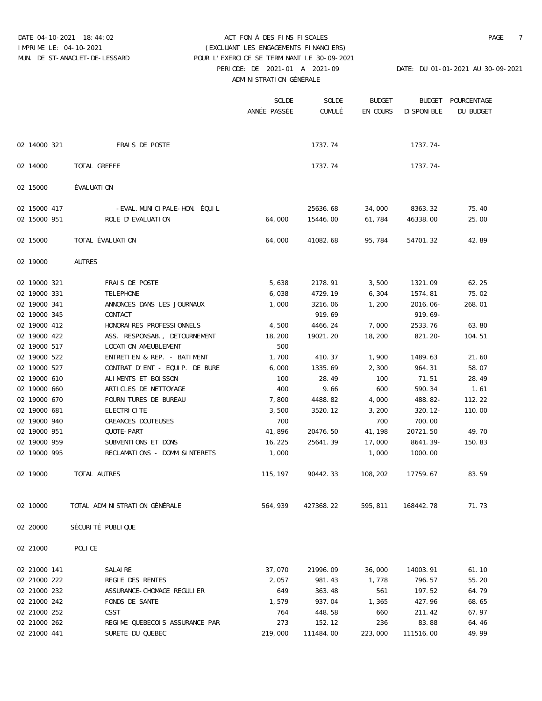### DATE 04-10-2021 18:44:02 ACT FON À DES FINS FISCALES PAGE 7 PERIODE: DE 2021-01 A 2021-09 DATE: DU 01-01-2021 AU 30-09-2021 ADMINISTRATION GÉNÉRALE IMPRIME LE: 04-10-2021 (EXCLUANT LES ENGAGEMENTS FINANCIERS) MUN. DE ST-ANACLET-DE-LESSARD POUR L'EXERCICE SE TERMINANT LE 30-09-2021

|              |                                | SOLDE<br>ANNÉE PASSÉE | SOLDE<br>CUMULÉ | <b>BUDGET</b> | <b>BUDGET</b> | POURCENTAGE |
|--------------|--------------------------------|-----------------------|-----------------|---------------|---------------|-------------|
|              |                                |                       |                 | EN COURS      | DISPONIBLE    | DU BUDGET   |
| 02 14000 321 | FRAIS DE POSTE                 |                       | 1737.74         |               | $1737.74-$    |             |
| 02 14000     | TOTAL GREFFE                   |                       | 1737.74         |               | $1737.74-$    |             |
| 02 15000     | ÉVALUATION                     |                       |                 |               |               |             |
| 02 15000 417 | -EVAL.MUNICIPALE-HON. ÉQUIL    |                       | 25636.68        | 34,000        | 8363.32       | 75.40       |
| 02 15000 951 | ROLE D'EVALUATION              | 64,000                | 15446.00        | 61,784        | 46338.00      | 25.00       |
| 02 15000     | TOTAL ÉVALUATION               | 64,000                | 41082.68        | 95,784        | 54701.32      | 42.89       |
| 02 19000     | <b>AUTRES</b>                  |                       |                 |               |               |             |
| 02 19000 321 | FRAIS DE POSTE                 | 5,638                 | 2178.91         | 3,500         | 1321.09       | 62.25       |
| 02 19000 331 | TELEPHONE                      | 6,038                 | 4729.19         | 6,304         | 1574.81       | 75.02       |
| 02 19000 341 | ANNONCES DANS LES JOURNAUX     | 1,000                 | 3216.06         | 1,200         | $2016.06 -$   | 268.01      |
| 02 19000 345 | CONTACT                        |                       | 919.69          |               | $919.69 -$    |             |
| 02 19000 412 | HONORAIRES PROFESSIONNELS      | 4,500                 | 4466.24         | 7,000         | 2533.76       | 63.80       |
| 02 19000 422 | ASS. RESPONSAB., DETOURNEMENT  | 18,200                | 19021.20        | 18,200        | $821.20 -$    | 104.51      |
| 02 19000 517 | LOCATION AMEUBLEMENT           | 500                   |                 |               |               |             |
| 02 19000 522 | ENTRETIEN & REP. - BATIMENT    | 1,700                 | 410.37          | 1,900         | 1489.63       | 21.60       |
| 02 19000 527 | CONTRAT D'ENT - EQUIP. DE BURE | 6,000                 | 1335.69         | 2,300         | 964.31        | 58.07       |
| 02 19000 610 | ALIMENTS ET BOISSON            | 100                   | 28.49           | 100           | 71.51         | 28.49       |
| 02 19000 660 | ARTICLES DE NETTOYAGE          | 400                   | 9.66            | 600           | 590.34        | 1.61        |
| 02 19000 670 | FOURNITURES DE BUREAU          | 7,800                 | 4488.82         | 4,000         | $488.82-$     | 112.22      |
| 02 19000 681 | ELECTRICITE                    | 3,500                 | 3520.12         | 3,200         | $320.12 -$    | 110.00      |
| 02 19000 940 | CREANCES DOUTEUSES             | 700                   |                 | 700           | 700.00        |             |
| 02 19000 951 | QUOTE-PART                     | 41,896                | 20476.50        | 41,198        | 20721.50      | 49.70       |
| 02 19000 959 | SUBVENTIONS ET DONS            | 16,225                | 25641.39        | 17,000        | 8641.39-      | 150.83      |
| 02 19000 995 | RECLAMATIONS - DOMM.&INTERETS  | 1,000                 |                 | 1,000         | 1000.00       |             |
| 02 19000     | TOTAL AUTRES                   | 115,197               | 90442.33        | 108,202       | 17759.67      | 83.59       |
| 02 10000     | TOTAL ADMINISTRATION GÉNÉRALE  | 564,939               | 427368.22       | 595,811       | 168442.78     | 71.73       |
| 02 20000     | SÉCURITÉ PUBLIQUE              |                       |                 |               |               |             |
| 02 21000     | POLICE                         |                       |                 |               |               |             |
| 02 21000 141 | SALAIRE                        | 37,070                | 21996.09        | 36,000        | 14003.91      | 61.10       |
| 02 21000 222 | REGIE DES RENTES               | 2,057                 | 981.43          | 1,778         | 796.57        | 55.20       |
| 02 21000 232 | ASSURANCE-CHOMAGE REGULIER     | 649                   | 363.48          | 561           | 197.52        | 64.79       |
| 02 21000 242 | FONDS DE SANTE                 | 1,579                 | 937.04          | 1,365         | 427.96        | 68.65       |
| 02 21000 252 | CSST                           | 764                   | 448.58          | 660           | 211.42        | 67.97       |
| 02 21000 262 | REGIME QUEBECOIS ASSURANCE PAR | 273                   | 152.12          | 236           | 83.88         | 64.46       |

02 21000 441 SURETE DU QUEBEC 219,000 111484.00 223,000 111516.00 49.99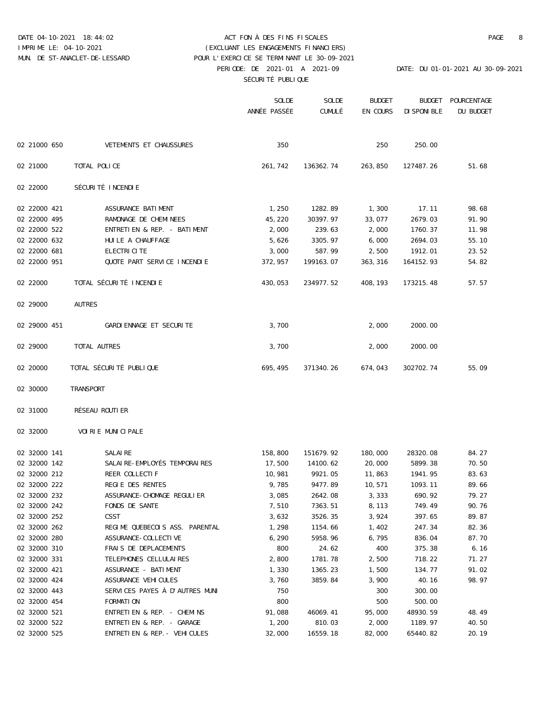### DATE 04-10-2021 18:44:02 ACT FON À DES FINS FISCALES PAGE 8 PERIODE: DE 2021-01 A 2021-09 DATE: DU 01-01-2021 AU 30-09-2021 SÉCURITÉ PUBLIQUE IMPRIME LE: 04-10-2021 (EXCLUANT LES ENGAGEMENTS FINANCIERS) MUN. DE ST-ANACLET-DE-LESSARD POUR L'EXERCICE SE TERMINANT LE 30-09-2021

|              |                                | SOLDE        | SOLDE     | <b>BUDGET</b> | <b>BUDGET</b> | POURCENTAGE |
|--------------|--------------------------------|--------------|-----------|---------------|---------------|-------------|
|              |                                | ANNÉE PASSÉE | CUMULÉ    | EN COURS      | DISPONIBLE    | DU BUDGET   |
| 02 21000 650 | VETEMENTS ET CHAUSSURES        | 350          |           | 250           | 250.00        |             |
|              |                                |              |           |               |               |             |
| 02 21000     | TOTAL POLICE                   | 261,742      | 136362.74 | 263,850       | 127487.26     | 51.68       |
| 02 22000     | SÉCURITÉ INCENDIE              |              |           |               |               |             |
| 02 22000 421 | ASSURANCE BATIMENT             | 1,250        | 1282.89   | 1,300         | 17.11         | 98.68       |
| 02 22000 495 | RAMONAGE DE CHEMINEES          | 45,220       | 30397.97  | 33,077        | 2679.03       | 91.90       |
| 02 22000 522 | ENTRETIEN & REP. - BATIMENT    | 2,000        | 239.63    | 2,000         | 1760.37       | 11.98       |
| 02 22000 632 | HUILE A CHAUFFAGE              | 5,626        | 3305.97   | 6,000         | 2694.03       | 55.10       |
| 02 22000 681 | ELECTRICITE                    | 3,000        | 587.99    | 2,500         | 1912.01       | 23.52       |
| 02 22000 951 | QUOTE PART SERVICE INCENDIE    | 372,957      | 199163.07 | 363,316       | 164152.93     | 54.82       |
| 02 22000     | TOTAL SÉCURITÉ INCENDIE        | 430,053      | 234977.52 | 408,193       | 173215.48     | 57.57       |
| 02 29000     | <b>AUTRES</b>                  |              |           |               |               |             |
| 02 29000 451 | GARDIENNAGE ET SECURITE        | 3,700        |           | 2,000         | 2000.00       |             |
| 02 29000     | TOTAL AUTRES                   | 3,700        |           | 2,000         | 2000.00       |             |
| 02 20000     | TOTAL SÉCURITÉ PUBLIQUE        | 695,495      | 371340.26 | 674,043       | 302702.74     | 55.09       |
| 02 30000     | TRANSPORT                      |              |           |               |               |             |
| 02 31000     | RÉSEAU ROUTIER                 |              |           |               |               |             |
| 02 32000     | VOIRIE MUNICIPALE              |              |           |               |               |             |
| 02 32000 141 | SALAIRE                        | 158,800      | 151679.92 | 180,000       | 28320.08      | 84.27       |
| 02 32000 142 | SALAIRE-EMPLOYÉS TEMPORAIRES   | 17,500       | 14100.62  | 20,000        | 5899.38       | 70.50       |
| 02 32000 212 | REER COLLECTIF                 | 10,981       | 9921.05   | 11,863        | 1941.95       | 83.63       |
| 02 32000 222 | REGIE DES RENTES               | 9,785        | 9477.89   | 10,571        | 1093.11       | 89.66       |
| 02 32000 232 | ASSURANCE-CHOMAGE REGULIER     | 3,085        | 2642.08   | 3,333         | 690.92        | 79.27       |
| 02 32000 242 | FONDS DE SANTE                 | 7,510        | 7363.51   | 8,113         | 749.49        | 90.76       |
| 02 32000 252 | CSST                           | 3,632        | 3526.35   | 3,924         | 397.65        | 89.87       |
| 02 32000 262 | REGIME QUEBECOIS ASS. PARENTAL | 1,298        | 1154.66   | 1,402         | 247.34        | 82.36       |
| 02 32000 280 | ASSURANCE-COLLECTIVE           | 6,290        | 5958.96   | 6,795         | 836.04        | 87.70       |
| 02 32000 310 | FRAIS DE DEPLACEMENTS          | 800          | 24.62     | 400           | 375.38        | 6.16        |
| 02 32000 331 | TELEPHONES CELLULAIRES         | 2,800        | 1781.78   | 2,500         | 718.22        | 71.27       |
| 02 32000 421 | ASSURANCE - BATIMENT           | 1,330        | 1365.23   | 1,500         | 134.77        | 91.02       |
| 02 32000 424 | ASSURANCE VEHICULES            | 3,760        | 3859.84   | 3,900         | 40.16         | 98.97       |
| 02 32000 443 | SERVICES PAYES À D'AUTRES MUNI | 750          |           | 300           | 300.00        |             |
| 02 32000 454 | FORMATION                      | 800          |           | 500           | 500.00        |             |
| 02 32000 521 | ENTRETIEN & REP. - CHEMINS     | 91,088       | 46069.41  | 95,000        | 48930.59      | 48.49       |
| 02 32000 522 | ENTRETIEN & REP. - GARAGE      | 1,200        | 810.03    | 2,000         | 1189.97       | 40.50       |
| 02 32000 525 | ENTRETIEN & REP. - VEHICULES   | 32,000       | 16559.18  | 82,000        | 65440.82      | 20.19       |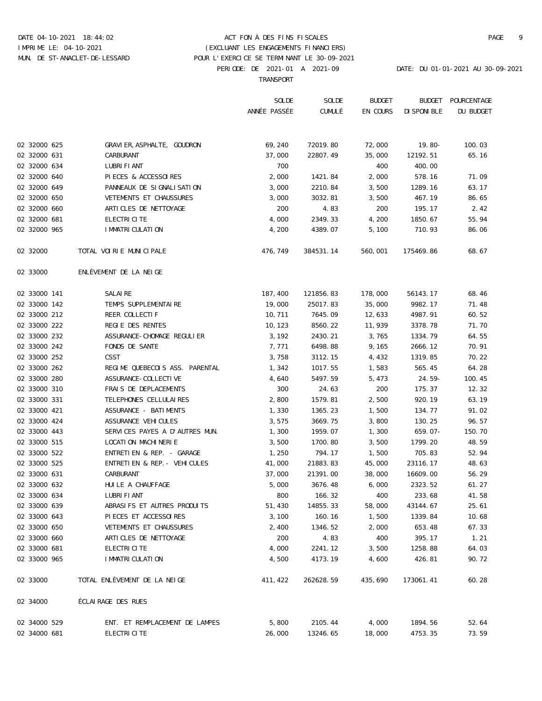# DATE 04-10-2021 18:44:02 ACT FON À DES FINS FISCALES PAGE 9 IMPRIME LE: 04-10-2021 (EXCLUANT LES ENGAGEMENTS FINANCIERS) MUN. DE ST-ANACLET-DE-LESSARD POUR L'EXERCICE SE TERMINANT LE 30-09-2021

PERIODE: DE 2021-01 A 2021-09 DATE: DU 01-01-2021 AU 30-09-2021

TRANSPORT

|              |                                | SOLDE        | SOLDE     | <b>BUDGET</b> |            | BUDGET POURCENTAGE |
|--------------|--------------------------------|--------------|-----------|---------------|------------|--------------------|
|              |                                | ANNÉE PASSÉE | CUMULÉ    | EN COURS      | DISPONIBLE | DU BUDGET          |
| 02 32000 625 | GRAVIER, ASPHALTE, GOUDRON     | 69,240       | 72019.80  | 72,000        | $19.80 -$  | 100.03             |
| 02 32000 631 | CARBURANT                      | 37,000       | 22807.49  | 35,000        | 12192.51   | 65.16              |
| 02 32000 634 | LUBRIFIANT                     | 700          |           | 400           | 400.00     |                    |
| 02 32000 640 | PIECES & ACCESSOIRES           | 2,000        | 1421.84   | 2,000         | 578.16     | 71.09              |
| 02 32000 649 | PANNEAUX DE SIGNALISATION      | 3,000        | 2210.84   | 3,500         | 1289.16    | 63.17              |
| 02 32000 650 | VETEMENTS ET CHAUSSURES        | 3,000        | 3032.81   | 3,500         | 467.19     | 86.65              |
| 02 32000 660 | ARTICLES DE NETTOYAGE          | 200          | 4.83      | 200           | 195.17     | 2.42               |
| 02 32000 681 | ELECTRICITE                    | 4,000        | 2349.33   | 4,200         | 1850.67    | 55.94              |
| 02 32000 965 | IMMATRICULATION                | 4,200        | 4389.07   | 5,100         | 710.93     | 86.06              |
| 02 32000     | TOTAL VOIRIE MUNICIPALE        | 476,749      | 384531.14 | 560,001       | 175469.86  | 68.67              |
| 02 33000     | ENLEVEMENT DE LA NEIGE         |              |           |               |            |                    |
| 02 33000 141 | SALAIRE                        | 187,400      | 121856.83 | 178,000       | 56143.17   | 68.46              |
| 02 33000 142 | TEMPS SUPPLEMENTAIRE           | 19,000       | 25017.83  | 35,000        | 9982.17    | 71.48              |
| 02 33000 212 | REER COLLECTIF                 | 10,711       | 7645.09   | 12,633        | 4987.91    | 60.52              |
| 02 33000 222 | REGIE DES RENTES               | 10,123       | 8560.22   | 11,939        | 3378.78    | 71.70              |
| 02 33000 232 | ASSURANCE-CHOMAGE REGULIER     | 3,192        | 2430.21   | 3,765         | 1334.79    | 64.55              |
| 02 33000 242 | FONDS DE SANTE                 | 7,771        | 6498.88   | 9,165         | 2666.12    | 70.91              |
| 02 33000 252 | CSST                           | 3,758        | 3112.15   | 4,432         | 1319.85    | 70.22              |
| 02 33000 262 | REGIME QUEBECOIS ASS. PARENTAL | 1,342        | 1017.55   | 1,583         | 565.45     | 64.28              |
| 02 33000 280 | ASSURANCE-COLLECTIVE           | 4,640        | 5497.59   | 5,473         | $24.59-$   | 100.45             |
| 02 33000 310 | FRAIS DE DEPLACEMENTS          | 300          | 24.63     | 200           | 175.37     | 12.32              |
| 02 33000 331 | TELEPHONES CELLULAIRES         | 2,800        | 1579.81   | 2,500         | 920.19     | 63.19              |
| 02 33000 421 | ASSURANCE - BATIMENTS          | 1,330        | 1365.23   | 1,500         | 134.77     | 91.02              |
| 02 33000 424 | ASSURANCE VEHICULES            | 3,575        | 3669.75   | 3,800         | 130.25     | 96.57              |
| 02 33000 443 | SERVICES PAYES A D'AUTRES MUN. | 1,300        | 1959.07   | 1,300         | $659.07 -$ | 150.70             |
| 02 33000 515 | LOCATION MACHINERIE            | 3,500        | 1700.80   | 3,500         | 1799.20    | 48.59              |
| 02 33000 522 | ENTRETIEN & REP. - GARAGE      | 1,250        | 794.17    | 1,500         | 705.83     | 52.94              |
| 02 33000 525 | ENTRETIEN & REP. - VEHICULES   | 41,000       | 21883.83  | 45,000        | 23116.17   | 48.63              |
| 02 33000 631 | CARBURANT                      | 37,000       | 21391.00  | 38,000        | 16609.00   | 56.29              |
| 02 33000 632 | HUILE A CHAUFFAGE              | 5,000        | 3676.48   | 6,000         | 2323.52    | 61.27              |
| 02 33000 634 | LUBRIFIANT                     | 800          | 166.32    | 400           | 233.68     | 41.58              |
| 02 33000 639 | ABRASIFS ET AUTRES PRODUITS    | 51,430       | 14855.33  | 58,000        | 43144.67   | 25.61              |
| 02 33000 643 | PIECES ET ACCESSOIRES          | 3,100        | 160.16    | 1,500         | 1339.84    | 10.68              |
| 02 33000 650 | VETEMENTS ET CHAUSSURES        | 2,400        | 1346.52   | 2,000         | 653.48     | 67.33              |
| 02 33000 660 | ARTICLES DE NETTOYAGE          | 200          | 4.83      | 400           | 395.17     | 1.21               |
| 02 33000 681 | ELECTRICITE                    | 4,000        | 2241.12   | 3,500         | 1258.88    | 64.03              |
| 02 33000 965 | IMMATRICULATION                | 4,500        | 4173.19   | 4,600         | 426.81     | 90.72              |
| 02 33000     | TOTAL ENLÈVEMENT DE LA NEIGE   | 411,422      | 262628.59 | 435,690       | 173061.41  | 60.28              |
| 02 34000     | ÉCLAIRAGE DES RUES             |              |           |               |            |                    |
| 02 34000 529 | ENT. ET REMPLACEMENT DE LAMPES | 5,800        | 2105.44   | 4,000         | 1894.56    | 52.64              |
| 02 34000 681 | ELECTRICITE                    | 26,000       | 13246.65  | 18,000        | 4753.35    | 73.59              |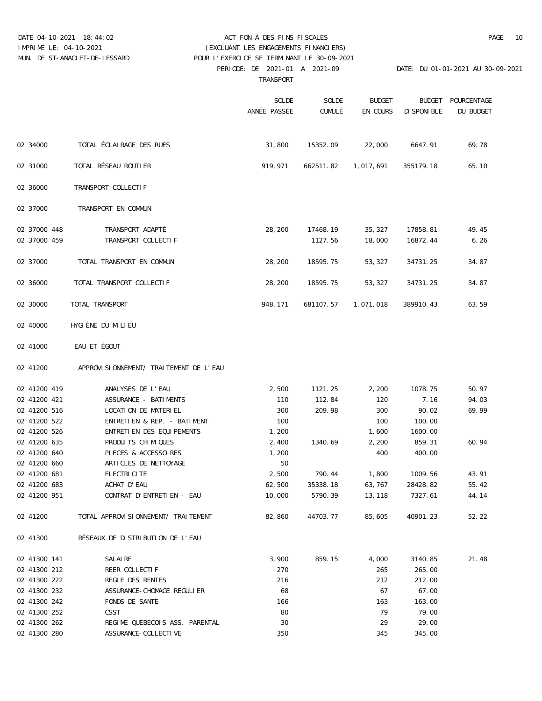### DATE 04-10-2021 18:44:02 ACT FON À DES FINS FISCALES PAGE 10 IMPRIME LE: 04-10-2021 (EXCLUANT LES ENGAGEMENTS FINANCIERS)

 PERIODE: DE 2021-01 A 2021-09 DATE: DU 01-01-2021 AU 30-09-2021 MUN. DE ST-ANACLET-DE-LESSARD POUR L'EXERCICE SE TERMINANT LE 30-09-2021

TRANSPORT

|              |                                        | SOLDE<br>ANNÉE PASSÉE | SOLDE<br>CUMULÉ | <b>BUDGET</b><br>EN COURS | <b>BUDGET</b><br>DISPONIBLE | POURCENTAGE<br>DU BUDGET |
|--------------|----------------------------------------|-----------------------|-----------------|---------------------------|-----------------------------|--------------------------|
| 02 34000     | TOTAL ÉCLAIRAGE DES RUES               | 31,800                | 15352.09        | 22,000                    | 6647.91                     | 69.78                    |
| 02 31000     | TOTAL RÉSEAU ROUTIER                   | 919,971               | 662511.82       | 1,017,691                 | 355179.18                   | 65.10                    |
| 02 36000     | TRANSPORT COLLECTIF                    |                       |                 |                           |                             |                          |
| 02 37000     | TRANSPORT EN COMMUN                    |                       |                 |                           |                             |                          |
| 02 37000 448 | TRANSPORT ADAPTÉ                       | 28,200                | 17468.19        | 35,327                    | 17858.81                    | 49.45                    |
| 02 37000 459 | TRANSPORT COLLECTIF                    |                       | 1127.56         | 18,000                    | 16872.44                    | 6.26                     |
| 02 37000     | TOTAL TRANSPORT EN COMMUN              | 28,200                | 18595.75        | 53,327                    | 34731.25                    | 34.87                    |
| 02 36000     | TOTAL TRANSPORT COLLECTIF              | 28,200                | 18595.75        | 53,327                    | 34731.25                    | 34.87                    |
| 02 30000     | TOTAL TRANSPORT                        | 948,171               | 681107.57       | 1,071,018                 | 389910.43                   | 63.59                    |
| 02 40000     | HYGIÈNE DU MILIEU                      |                       |                 |                           |                             |                          |
| 02 41000     | EAU ET ÉGOUT                           |                       |                 |                           |                             |                          |
| 02 41200     | APPROVISIONNEMENT/ TRAITEMENT DE L'EAU |                       |                 |                           |                             |                          |
| 02 41200 419 | ANALYSES DE L'EAU                      | 2,500                 | 1121.25         | 2,200                     | 1078.75                     | 50.97                    |
| 02 41200 421 | ASSURANCE - BATIMENTS                  | 110                   | 112.84          | 120                       | 7.16                        | 94.03                    |
| 02 41200 516 | LOCATION DE MATERIEL                   | 300                   | 209.98          | 300                       | 90.02                       | 69.99                    |
| 02 41200 522 | ENTRETIEN & REP. - BATIMENT            | 100                   |                 | 100                       | 100.00                      |                          |
| 02 41200 526 | ENTRETIEN DES EQUIPEMENTS              | 1,200                 |                 | 1,600                     | 1600.00                     |                          |
| 02 41200 635 | PRODUITS CHIMIQUES                     | 2,400                 | 1340.69         | 2,200                     | 859.31                      | 60.94                    |
| 02 41200 640 | PIECES & ACCESSOIRES                   | 1,200                 |                 | 400                       | 400.00                      |                          |
| 02 41200 660 | ARTICLES DE NETTOYAGE                  | 50                    |                 |                           |                             |                          |
| 02 41200 681 | ELECTRICITE                            | 2,500                 | 790.44          | 1,800                     | 1009.56                     | 43.91                    |
| 02 41200 683 | ACHAT D'EAU                            | 62,500                | 35338.18        | 63,767                    | 28428.82                    | 55.42                    |
| 02 41200 951 | CONTRAT D'ENTRETIEN - EAU              | 10,000                | 5790.39         | 13,118                    | 7327.61                     | 44.14                    |
| 02 41200     | TOTAL APPROVISIONNEMENT/ TRAITEMENT    | 82,860                | 44703.77        | 85,605                    | 40901.23                    | 52.22                    |
| 02 41300     | RÉSEAUX DE DISTRIBUTION DE L'EAU       |                       |                 |                           |                             |                          |
| 02 41300 141 | SALAIRE                                | 3,900                 | 859.15          | 4,000                     | 3140.85                     | 21.48                    |
| 02 41300 212 | REER COLLECTIF                         | 270                   |                 | 265                       | 265.00                      |                          |
| 02 41300 222 | REGIE DES RENTES                       | 216                   |                 | 212                       | 212.00                      |                          |
| 02 41300 232 | ASSURANCE-CHOMAGE REGULIER             | 68                    |                 | 67                        | 67.00                       |                          |
| 02 41300 242 | FONDS DE SANTE                         | 166                   |                 | 163                       | 163.00                      |                          |
| 02 41300 252 | CSST                                   | 80                    |                 | 79                        | 79.00                       |                          |
| 02 41300 262 | REGIME QUEBECOIS ASS. PARENTAL         | 30                    |                 | 29                        | 29.00                       |                          |
| 02 41300 280 | ASSURANCE-COLLECTIVE                   | 350                   |                 | 345                       | 345.00                      |                          |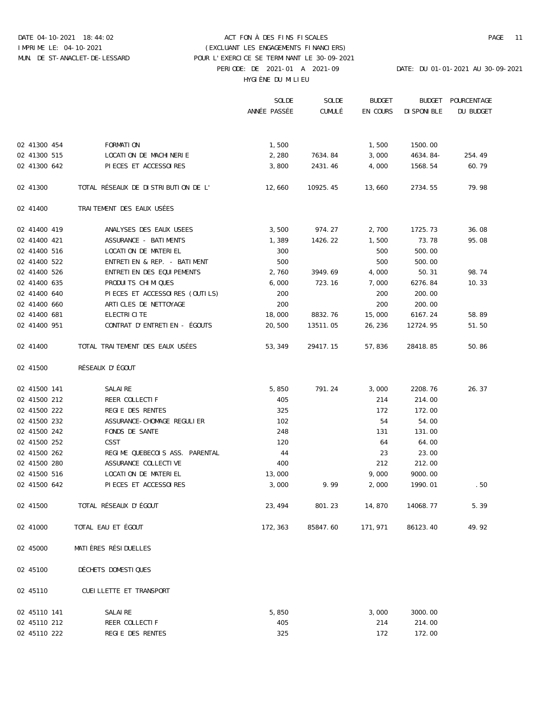### DATE 04-10-2021 18:44:02 ACT FON À DES FINS FISCALES PAGE 11 PERIODE: DE 2021-01 A 2021-09 DATE: DU 01-01-2021 AU 30-09-2021 HYGIÈNE DU MILIEU IMPRIME LE: 04-10-2021 (EXCLUANT LES ENGAGEMENTS FINANCIERS) MUN. DE ST-ANACLET-DE-LESSARD POUR L'EXERCICE SE TERMINANT LE 30-09-2021

|              |                                     | SOLDE        | SOLDE    | <b>BUDGET</b> | <b>BUDGET</b> | POURCENTAGE |
|--------------|-------------------------------------|--------------|----------|---------------|---------------|-------------|
|              |                                     | ANNÉE PASSÉE | CUMULÉ   | EN COURS      | DISPONIBLE    | DU BUDGET   |
|              |                                     |              |          |               |               |             |
| 02 41300 454 | FORMATION                           | 1,500        |          | 1,500         | 1500.00       |             |
| 02 41300 515 | LOCATION DE MACHINERIE              | 2,280        | 7634.84  | 3,000         | $4634.84-$    | 254.49      |
| 02 41300 642 | PIECES ET ACCESSOIRES               | 3,800        | 2431.46  | 4,000         | 1568.54       | 60.79       |
| 02 41300     | TOTAL RÉSEAUX DE DISTRIBUTION DE L' | 12,660       | 10925.45 | 13,660        | 2734.55       | 79.98       |
| 02 41400     | TRAITEMENT DES EAUX USÉES           |              |          |               |               |             |
| 02 41400 419 | ANALYSES DES EAUX USEES             | 3,500        | 974.27   | 2,700         | 1725.73       | 36.08       |
| 02 41400 421 | ASSURANCE - BATIMENTS               | 1,389        | 1426.22  | 1,500         | 73.78         | 95.08       |
| 02 41400 516 | LOCATION DE MATERIEL                | 300          |          | 500           | 500.00        |             |
| 02 41400 522 | ENTRETIEN & REP. - BATIMENT         | 500          |          | 500           | 500.00        |             |
| 02 41400 526 | ENTRETIEN DES EQUIPEMENTS           | 2,760        | 3949.69  | 4,000         | 50.31         | 98.74       |
| 02 41400 635 | PRODUITS CHIMIQUES                  | 6,000        | 723.16   | 7,000         | 6276.84       | 10.33       |
| 02 41400 640 | PIECES ET ACCESSOIRES (OUTILS)      | 200          |          | 200           | 200.00        |             |
| 02 41400 660 | ARTICLES DE NETTOYAGE               | 200          |          | 200           | 200.00        |             |
| 02 41400 681 | ELECTRICITE                         | 18,000       | 8832.76  | 15,000        | 6167.24       | 58.89       |
| 02 41400 951 | CONTRAT D'ENTRETIEN - ÉGOUTS        | 20,500       | 13511.05 | 26,236        | 12724.95      | 51.50       |
| 02 41400     | TOTAL TRAITEMENT DES EAUX USÉES     | 53,349       | 29417.15 | 57,836        | 28418.85      | 50.86       |
| 02 41500     | RÉSEAUX D'ÉGOUT                     |              |          |               |               |             |
| 02 41500 141 | SALAIRE                             | 5,850        | 791.24   | 3,000         | 2208.76       | 26.37       |
| 02 41500 212 | REER COLLECTIF                      | 405          |          | 214           | 214.00        |             |
| 02 41500 222 | REGIE DES RENTES                    | 325          |          | 172           | 172.00        |             |
| 02 41500 232 | ASSURANCE-CHOMAGE REGULIER          | 102          |          | 54            | 54.00         |             |
| 02 41500 242 | FONDS DE SANTE                      | 248          |          | 131           | 131.00        |             |
| 02 41500 252 | CSST                                | 120          |          | 64            | 64.00         |             |
| 02 41500 262 | REGIME QUEBECOIS ASS. PARENTAL      | 44           |          | 23            | 23.00         |             |
| 02 41500 280 | ASSURANCE COLLECTIVE                | 400          |          | 212           | 212.00        |             |
| 02 41500 516 | LOCATION DE MATERIEL                | 13,000       |          | 9,000         | 9000.00       |             |
| 02 41500 642 | PIECES ET ACCESSOIRES               | 3,000        | 9.99     | 2,000         | 1990.01       | .50         |
| 02 41500     | TOTAL RÉSEAUX D'ÉGOUT               | 23,494       | 801.23   | 14,870        | 14068.77      | 5.39        |
| 02 41000     | TOTAL EAU ET ÉGOUT                  | 172,363      | 85847.60 | 171,971       | 86123.40      | 49.92       |
| 02 45000     | MATIÈRES RÉSIDUELLES                |              |          |               |               |             |
| 02 45100     | DÉCHETS DOMESTIQUES                 |              |          |               |               |             |
| 02 45110     | CUEILLETTE ET TRANSPORT             |              |          |               |               |             |
| 02 45110 141 | SALAIRE                             | 5,850        |          | 3,000         | 3000.00       |             |

02 45110 212 REER COLLECTIF 405 405 214 214.00 02 45110 222 REGIE DES RENTES 325 325 172.00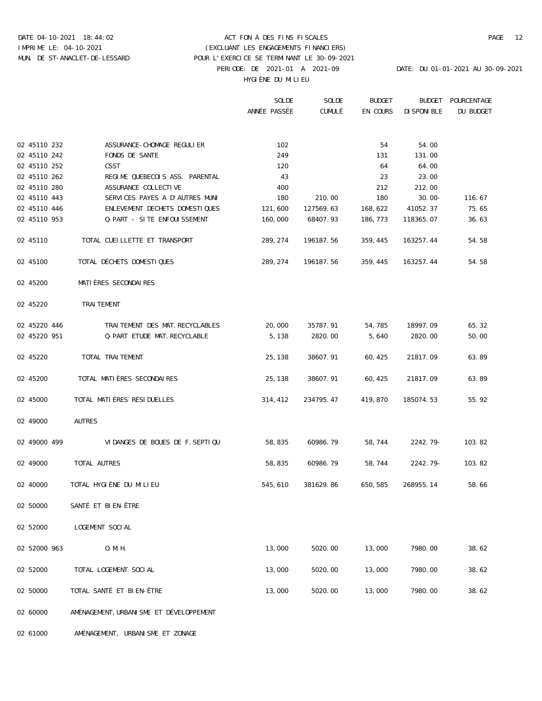# DATE 04-10-2021 18:44:02 ACT FON À DES FINS FISCALES PAGE 12 PERIODE: DE 2021-01 A 2021-09 DATE: DU 01-01-2021 AU 30-09-2021 IMPRIME LE: 04-10-2021 (EXCLUANT LES ENGAGEMENTS FINANCIERS) MUN. DE ST-ANACLET-DE-LESSARD POUR L'EXERCICE SE TERMINANT LE 30-09-2021

HYGIÈNE DU MILIEU

|              |                                         | SOLDE        | SOLDE     | <b>BUDGET</b> | <b>BUDGET</b> | POURCENTAGE |
|--------------|-----------------------------------------|--------------|-----------|---------------|---------------|-------------|
|              |                                         | ANNÉE PASSÉE | CUMULÉ    | EN COURS      | DISPONIBLE    | DU BUDGET   |
|              |                                         |              |           |               |               |             |
|              |                                         |              |           |               |               |             |
| 02 45110 232 | ASSURANCE-CHOMAGE REGULIER              | 102          |           | 54            | 54.00         |             |
| 02 45110 242 | FONDS DE SANTE                          | 249          |           | 131           | 131.00        |             |
| 02 45110 252 | CSST                                    | 120          |           | 64            | 64.00         |             |
| 02 45110 262 | REGIME QUEBECOIS ASS. PARENTAL          | 43           |           | 23            | 23.00         |             |
| 02 45110 280 | ASSURANCE COLLECTIVE                    | 400          |           | 212           | 212.00        |             |
| 02 45110 443 | SERVICES PAYES A D'AUTRES MUNI          | 180          | 210.00    | 180           | $30.00 -$     | 116.67      |
| 02 45110 446 | ENLEVEMENT DECHETS DOMESTIQUES          | 121,600      | 127569.63 | 168,622       | 41052.37      | 75.65       |
| 02 45110 953 | Q-PART - SITE ENFOUISSEMENT             | 160,000      | 68407.93  | 186,773       | 118365.07     | 36.63       |
| 02 45110     | TOTAL CUEILLETTE ET TRANSPORT           | 289,274      | 196187.56 | 359,445       | 163257.44     | 54.58       |
| 02 45100     | TOTAL DÉCHETS DOMESTIQUES               | 289,274      | 196187.56 | 359,445       | 163257.44     | 54.58       |
| 02 45200     | MATIÈRES SECONDAIRES                    |              |           |               |               |             |
| 02 45220     | TRAITEMENT                              |              |           |               |               |             |
| 02 45220 446 | TRAITEMENT DES MAT.RECYCLABLES          | 20,000       | 35787.91  | 54,785        | 18997.09      | 65.32       |
|              |                                         |              |           |               |               |             |
| 02 45220 951 | Q-PART ETUDE MAT.RECYCLABLE             | 5,138        | 2820.00   | 5,640         | 2820.00       | 50.00       |
| 02 45220     | TOTAL TRAITEMENT                        | 25,138       | 38607.91  | 60,425        | 21817.09      | 63.89       |
| 02 45200     | TOTAL MATIÈRES SECONDAIRES              | 25,138       | 38607.91  | 60,425        | 21817.09      | 63.89       |
|              |                                         |              |           |               |               |             |
| 02 45000     | TOTAL MATIÈRES RÉSIDUELLES              | 314,412      | 234795.47 | 419,870       | 185074.53     | 55.92       |
| 02 49000     | AUTRES                                  |              |           |               |               |             |
| 02 49000 499 | VIDANGES DE BOUES DE F.SEPTIQU          | 58,835       | 60986.79  | 58,744        | $2242.79-$    | 103.82      |
| 02 49000     | TOTAL AUTRES                            | 58,835       | 60986.79  | 58,744        | $2242.79-$    | 103.82      |
|              |                                         |              |           |               |               |             |
| 02 40000     | TOTAL HYGIÈNE DU MILIEU                 | 545,610      | 381629.86 | 650,585       | 268955.14     | 58.66       |
| 02 50000     | SANTÉ ET BIEN-ÊTRE                      |              |           |               |               |             |
| 02 52000     | LOGEMENT SOCIAL                         |              |           |               |               |             |
| 02 52000 963 | O.M.H.                                  | 13,000       | 5020.00   | 13,000        | 7980.00       | 38.62       |
| 02 52000     | TOTAL LOGEMENT SOCIAL                   | 13,000       | 5020.00   | 13,000        | 7980.00       | 38.62       |
| 02 50000     | TOTAL SANTÉ ET BIEN-ÊTRE                | 13,000       | 5020.00   | 13,000        | 7980.00       | 38.62       |
| 02 60000     | AMÉNAGEMENT, URBANISME ET DÉVELOPPEMENT |              |           |               |               |             |

02 61000 AMÉNAGEMENT, URBANISME ET ZONAGE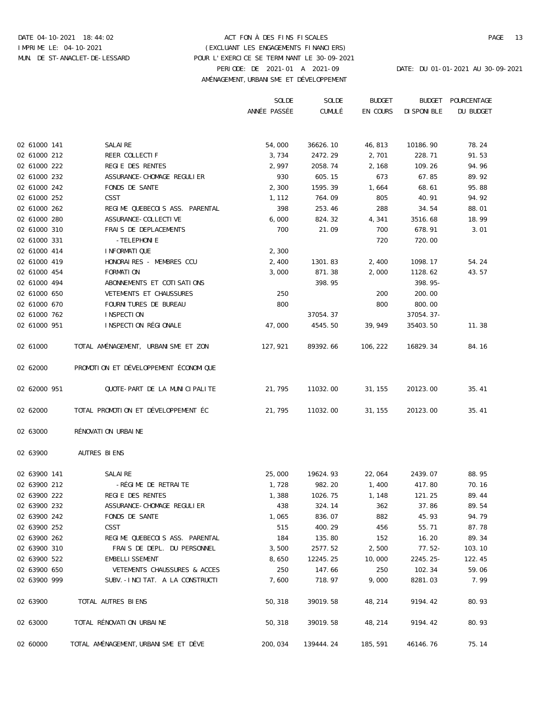## DATE 04-10-2021 18:44:02 ACT FON À DES FINS FISCALES PAGE 13 PERIODE: DE 2021-01 A 2021-09 DATE: DU 01-01-2021 AU 30-09-2021 AMÉNAGEMENT,URBANISME ET DÉVELOPPEMENT IMPRIME LE: 04-10-2021 (EXCLUANT LES ENGAGEMENTS FINANCIERS) MUN. DE ST-ANACLET-DE-LESSARD POUR L'EXERCICE SE TERMINANT LE 30-09-2021

|              |                                       | SOLDE        | SOLDE     | <b>BUDGET</b> | <b>BUDGET</b> | POURCENTAGE |
|--------------|---------------------------------------|--------------|-----------|---------------|---------------|-------------|
|              |                                       | ANNÉE PASSÉE | CUMULÉ    | EN COURS      | DISPONIBLE    | DU BUDGET   |
|              |                                       |              |           |               |               |             |
| 02 61000 141 | SALAIRE                               | 54,000       | 36626.10  | 46,813        | 10186.90      | 78.24       |
| 02 61000 212 | REER COLLECTIF                        | 3,734        | 2472.29   | 2,701         | 228.71        | 91.53       |
| 02 61000 222 | REGIE DES RENTES                      | 2,997        | 2058.74   | 2,168         | 109.26        | 94.96       |
| 02 61000 232 | ASSURANCE-CHOMAGE REGULIER            | 930          | 605.15    | 673           | 67.85         | 89.92       |
| 02 61000 242 | FONDS DE SANTE                        | 2,300        | 1595.39   | 1,664         | 68.61         | 95.88       |
| 02 61000 252 | CSST                                  | 1,112        | 764.09    | 805           | 40.91         | 94.92       |
| 02 61000 262 | REGIME QUEBECOIS ASS. PARENTAL        | 398          | 253.46    | 288           | 34.54         | 88.01       |
| 02 61000 280 | ASSURANCE-COLLECTIVE                  | 6,000        | 824.32    | 4,341         | 3516.68       | 18.99       |
| 02 61000 310 | FRAIS DE DEPLACEMENTS                 | 700          | 21.09     | 700           | 678.91        | 3.01        |
| 02 61000 331 | -TELEPHONIE                           |              |           | 720           | 720.00        |             |
| 02 61000 414 | INFORMATIQUE                          | 2,300        |           |               |               |             |
| 02 61000 419 | HONORAIRES - MEMBRES CCU              | 2,400        | 1301.83   | 2,400         | 1098.17       | 54.24       |
| 02 61000 454 | FORMATION                             | 3,000        | 871.38    | 2,000         | 1128.62       | 43.57       |
| 02 61000 494 | ABONNEMENTS ET COTISATIONS            |              | 398.95    |               | $398.95-$     |             |
| 02 61000 650 | VETEMENTS ET CHAUSSURES               | 250          |           | 200           | 200.00        |             |
| 02 61000 670 | FOURNITURES DE BUREAU                 | 800          |           | 800           | 800.00        |             |
| 02 61000 762 | INSPECTION                            |              | 37054.37  |               | $37054.37-$   |             |
| 02 61000 951 | INSPECTION RÉGIONALE                  | 47,000       | 4545.50   | 39,949        | 35403.50      | 11.38       |
| 02 61000     | TOTAL AMÉNAGEMENT, URBANISME ET ZON   | 127,921      | 89392.66  | 106,222       | 16829.34      | 84.16       |
| 02 62000     | PROMOTION ET DÉVELOPPEMENT ÉCONOMIQUE |              |           |               |               |             |
| 02 62000 951 | QUOTE-PART DE LA MUNICIPALITE         | 21,795       | 11032.00  | 31,155        | 20123.00      | 35.41       |
| 02 62000     | TOTAL PROMOTION ET DÉVELOPPEMENT ÉC   | 21,795       | 11032.00  | 31,155        | 20123.00      | 35.41       |
| 02 63000     | RÉNOVATION URBAINE                    |              |           |               |               |             |
| 02 63900     | AUTRES BIENS                          |              |           |               |               |             |
| 02 63900 141 | SALAIRE                               | 25,000       | 19624.93  | 22,064        | 2439.07       | 88.95       |
| 02 63900 212 | -RÉGIME DE RETRAITE                   | 1,728        | 982.20    | 1,400         | 417.80        | 70.16       |
| 02 63900 222 | REGIE DES RENTES                      | 1,388        | 1026.75   | 1,148         | 121.25        | 89.44       |
| 02 63900 232 | ASSURANCE-CHOMAGE REGULIER            | 438          | 324.14    | 362           | 37.86         | 89.54       |
| 02 63900 242 | FONDS DE SANTE                        | 1,065        | 836.07    | 882           | 45.93         | 94.79       |
| 02 63900 252 | CSST                                  | 515          | 400.29    | 456           | 55.71         | 87.78       |
| 02 63900 262 | REGIME QUEBECOIS ASS. PARENTAL        | 184          | 135.80    | 152           | 16.20         | 89.34       |
| 02 63900 310 | FRAIS DE DEPL. DU PERSONNEL           | 3,500        | 2577.52   | 2,500         | $77.52 -$     | 103.10      |
| 02 63900 522 | EMBELLISSEMENT                        | 8,650        | 12245.25  | 10,000        | $2245.25 -$   | 122.45      |
| 02 63900 650 | VETEMENTS CHAUSSURES & ACCES          | 250          | 147.66    | 250           | 102.34        | 59.06       |
| 02 63900 999 | SUBV.-INCITAT. A LA CONSTRUCTI        | 7,600        | 718.97    | 9,000         | 8281.03       | 7.99        |
| 02 63900     | TOTAL AUTRES BIENS                    | 50,318       | 39019.58  | 48,214        | 9194.42       | 80.93       |
| 02 63000     | TOTAL RÉNOVATION URBAINE              | 50,318       | 39019.58  | 48,214        | 9194.42       | 80.93       |
| 02 60000     | TOTAL AMÉNAGEMENT, URBANISME ET DÉVE  | 200,034      | 139444.24 | 185,591       | 46146.76      | 75.14       |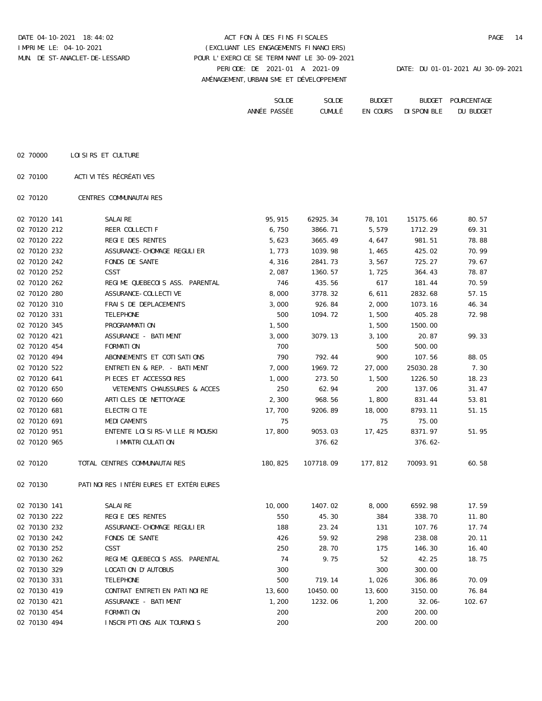DATE 04-10-2021 18:44:02 ACT FON À DES FINS FISCALES PAGE 14 PERIODE: DE 2021-01 A 2021-09 DATE: DU 01-01-2021 AU 30-09-2021 AMÉNAGEMENT,URBANISME ET DÉVELOPPEMENT IMPRIME LE: 04-10-2021 (EXCLUANT LES ENGAGEMENTS FINANCIERS) MUN. DE ST-ANACLET-DE-LESSARD POUR L'EXERCICE SE TERMINANT LE 30-09-2021

| SOLDE            | SOLDE  | <b>BUDGET</b>          | <b>BUDGET</b>     | 'NTAGE<br><b>POURCE</b> |
|------------------|--------|------------------------|-------------------|-------------------------|
| PASSEE<br>ANNÉE. | CUMULÉ | ΕN<br>COTID C<br>しししいい | ים דם דוחר חרט דו | BUDGE"<br>DU            |

| 02 70000 | LOISIRS ET CULTURE |  |
|----------|--------------------|--|
|          |                    |  |

02 70100 ACTIVITÉS RÉCRÉATIVES

02 70120 CENTRES COMMUNAUTAIRES

| 02 70120 141 | SALAIRE                               | 95,915  | 62925.34  | 78,101  | 15175.66  | 80.57  |
|--------------|---------------------------------------|---------|-----------|---------|-----------|--------|
| 02 70120 212 | REER COLLECTIF                        | 6,750   | 3866.71   | 5,579   | 1712.29   | 69.31  |
| 02 70120 222 | REGIE DES RENTES                      | 5,623   | 3665.49   | 4,647   | 981.51    | 78.88  |
| 02 70120 232 | ASSURANCE-CHOMAGE REGULIER            | 1,773   | 1039.98   | 1,465   | 425.02    | 70.99  |
| 02 70120 242 | FONDS DE SANTE                        | 4,316   | 2841.73   | 3,567   | 725.27    | 79.67  |
| 02 70120 252 | CSST                                  | 2,087   | 1360.57   | 1,725   | 364.43    | 78.87  |
| 02 70120 262 | REGIME QUEBECOIS ASS. PARENTAL        | 746     | 435.56    | 617     | 181.44    | 70.59  |
| 02 70120 280 | ASSURANCE-COLLECTIVE                  | 8,000   | 3778.32   | 6,611   | 2832.68   | 57.15  |
| 02 70120 310 | FRAIS DE DEPLACEMENTS                 | 3,000   | 926.84    | 2,000   | 1073.16   | 46.34  |
| 02 70120 331 | TELEPHONE                             | 500     | 1094.72   | 1,500   | 405.28    | 72.98  |
| 02 70120 345 | PROGRAMMATION                         | 1,500   |           | 1,500   | 1500.00   |        |
| 02 70120 421 | ASSURANCE - BATIMENT                  | 3,000   | 3079.13   | 3,100   | 20.87     | 99.33  |
| 02 70120 454 | FORMATION                             | 700     |           | 500     | 500.00    |        |
| 02 70120 494 | ABONNEMENTS ET COTISATIONS            | 790     | 792.44    | 900     | 107.56    | 88.05  |
| 02 70120 522 | ENTRETIEN & REP. - BATIMENT           | 7,000   | 1969.72   | 27,000  | 25030.28  | 7.30   |
| 02 70120 641 | PIECES ET ACCESSOIRES                 | 1,000   | 273.50    | 1,500   | 1226.50   | 18.23  |
| 02 70120 650 | VETEMENTS CHAUSSURES & ACCES          | 250     | 62.94     | 200     | 137.06    | 31.47  |
| 02 70120 660 | ARTICLES DE NETTOYAGE                 | 2,300   | 968.56    | 1,800   | 831.44    | 53.81  |
| 02 70120 681 | ELECTRICITE                           | 17,700  | 9206.89   | 18,000  | 8793.11   | 51.15  |
| 02 70120 691 | MEDICAMENTS                           | 75      |           | 75      | 75.00     |        |
| 02 70120 951 | ENTENTE LOISIRS-VILLE RIMOUSKI        | 17,800  | 9053.03   | 17,425  | 8371.97   | 51.95  |
| 02 70120 965 | IMMATRICULATION                       |         | 376.62    |         | $376.62-$ |        |
| 02 70120     | TOTAL CENTRES COMMUNAUTAIRES          | 180,825 | 107718.09 | 177,812 | 70093.91  | 60.58  |
| 02 70130     | PATINOIRES INTÉRIEURES ET EXTÉRIEURES |         |           |         |           |        |
| 02 70130 141 | SALAIRE                               | 10,000  | 1407.02   | 8,000   | 6592.98   | 17.59  |
| 02 70130 222 | REGIE DES RENTES                      | 550     | 45.30     | 384     | 338.70    | 11.80  |
| 02 70130 232 | ASSURANCE-CHOMAGE REGULIER            | 188     | 23.24     | 131     | 107.76    | 17.74  |
| 02 70130 242 | FONDS DE SANTE                        | 426     | 59.92     | 298     | 238.08    | 20.11  |
| 02 70130 252 | CSST                                  | 250     | 28.70     | 175     | 146.30    | 16.40  |
| 02 70130 262 | REGIME OUEBECOIS ASS. PARENTAL        | 74      | 9.75      | 52      | 42.25     | 18.75  |
| 02 70130 329 | LOCATION D'AUTOBUS                    | 300     |           | 300     | 300.00    |        |
| 02 70130 331 | TELEPHONE                             | 500     | 719.14    | 1,026   | 306.86    | 70.09  |
| 02 70130 419 | CONTRAT ENTRETIEN PATINOIRE           | 13,600  | 10450.00  | 13,600  | 3150.00   | 76.84  |
| 02 70130 421 | ASSURANCE - BATIMENT                  | 1,200   | 1232.06   | 1,200   | $32.06 -$ | 102.67 |
| 02 70130 454 | FORMATION                             | 200     |           | 200     | 200.00    |        |
| 02 70130 494 | INSCRIPTIONS AUX TOURNOIS             | 200     |           | 200     | 200.00    |        |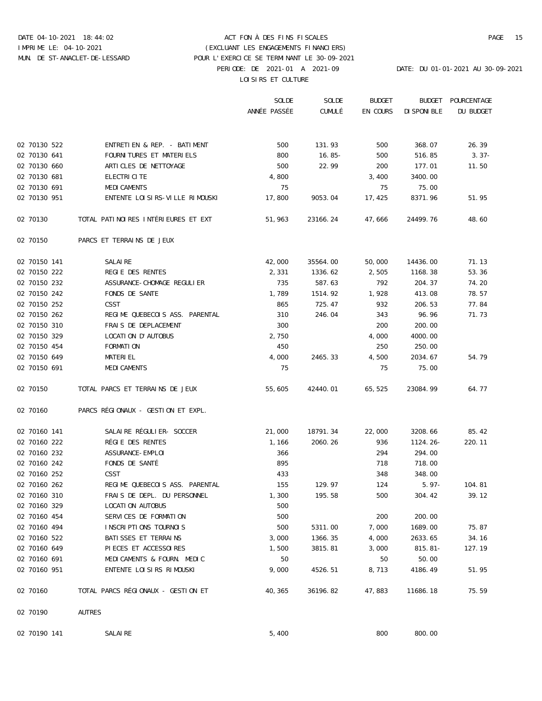# DATE 04-10-2021 18:44:02 ACT FON À DES FINS FISCALES PAGE 15 PERIODE: DE 2021-01 A 2021-09 DATE: DU 01-01-2021 AU 30-09-2021 IMPRIME LE: 04-10-2021 (EXCLUANT LES ENGAGEMENTS FINANCIERS) MUN. DE ST-ANACLET-DE-LESSARD POUR L'EXERCICE SE TERMINANT LE 30-09-2021

LOISIRS ET CULTURE

|              |                                     | SOLDE        | SOLDE    | <b>BUDGET</b> | <b>BUDGET</b> | POURCENTAGE |
|--------------|-------------------------------------|--------------|----------|---------------|---------------|-------------|
|              |                                     | ANNÉE PASSÉE | CUMULÉ   | EN COURS      | DISPONIBLE    | DU BUDGET   |
|              |                                     |              |          |               |               |             |
| 02 70130 522 | ENTRETIEN & REP. - BATIMENT         | 500          | 131.93   | 500           | 368.07        | 26.39       |
| 02 70130 641 | FOURNITURES ET MATERIELS            | 800          | $16.85-$ | 500           | 516.85        | $3.37-$     |
| 02 70130 660 | ARTICLES DE NETTOYAGE               | 500          | 22.99    | 200           | 177.01        | 11.50       |
| 02 70130 681 | ELECTRICITE                         | 4,800        |          | 3,400         | 3400.00       |             |
| 02 70130 691 | MEDICAMENTS                         | 75           |          | 75            | 75.00         |             |
| 02 70130 951 | ENTENTE LOISIRS-VILLE RIMOUSKI      | 17,800       | 9053.04  | 17,425        | 8371.96       | 51.95       |
| 02 70130     | TOTAL PATINOIRES INTÉRIEURES ET EXT | 51,963       | 23166.24 | 47,666        | 24499.76      | 48.60       |
| 02 70150     | PARCS ET TERRAINS DE JEUX           |              |          |               |               |             |
| 02 70150 141 | SALAIRE                             | 42,000       | 35564.00 | 50,000        | 14436.00      | 71.13       |
| 02 70150 222 | REGIE DES RENTES                    | 2,331        | 1336.62  | 2,505         | 1168.38       | 53.36       |
| 02 70150 232 | ASSURANCE-CHOMAGE REGULIER          | 735          | 587.63   | 792           | 204.37        | 74.20       |
| 02 70150 242 | FONDS DE SANTE                      | 1,789        | 1514.92  | 1,928         | 413.08        | 78.57       |
| 02 70150 252 | CSST                                | 865          | 725.47   | 932           | 206.53        | 77.84       |
| 02 70150 262 | REGIME QUEBECOIS ASS. PARENTAL      | 310          | 246.04   | 343           | 96.96         | 71.73       |
| 02 70150 310 | FRAIS DE DEPLACEMENT                | 300          |          | 200           | 200.00        |             |
| 02 70150 329 | LOCATION D'AUTOBUS                  | 2,750        |          | 4,000         | 4000.00       |             |
| 02 70150 454 | FORMATION                           | 450          |          | 250           | 250.00        |             |
| 02 70150 649 | MATERIEL                            | 4,000        | 2465.33  | 4,500         | 2034.67       | 54.79       |
| 02 70150 691 | MEDICAMENTS                         | 75           |          | 75            | 75.00         |             |
| 02 70150     | TOTAL PARCS ET TERRAINS DE JEUX     | 55,605       | 42440.01 | 65,525        | 23084.99      | 64.77       |
| 02 70160     | PARCS RÉGIONAUX - GESTION ET EXPL.  |              |          |               |               |             |
| 02 70160 141 | SALAIRE RÉGULIER- SOCCER            | 21,000       | 18791.34 | 22,000        | 3208.66       | 85.42       |
| 02 70160 222 | RÉGIE DES RENTES                    | 1,166        | 2060.26  | 936           | $1124.26-$    | 220.11      |
| 02 70160 232 | ASSURANCE-EMPLOI                    | 366          |          | 294           | 294.00        |             |
| 02 70160 242 | FONDS DE SANTÉ                      | 895          |          | 718           | 718.00        |             |
| 02 70160 252 | CSST                                | 433          |          | 348           | 348.00        |             |
| 02 70160 262 | REGIME QUEBECOIS ASS. PARENTAL      | 155          | 129.97   | 124           | $5.97 -$      | 104.81      |
| 02 70160 310 | FRAIS DE DEPL. DU PERSONNEL         | 1,300        | 195.58   | 500           | 304.42        | 39.12       |
| 02 70160 329 | LOCATION AUTOBUS                    | 500          |          |               |               |             |
| 02 70160 454 | SERVICES DE FORMATION               | 500          |          | 200           | 200.00        |             |
| 02 70160 494 | INSCRIPTIONS TOURNOIS               | 500          | 5311.00  | 7,000         | 1689.00       | 75.87       |
| 02 70160 522 | BATISSES ET TERRAINS                | 3,000        | 1366.35  | 4,000         | 2633.65       | 34.16       |
| 02 70160 649 | PIECES ET ACCESSOIRES               | 1,500        | 3815.81  | 3,000         | $815.81-$     | 127.19      |
| 02 70160 691 | MEDICAMENTS & FOURN. MEDIC          | 50           |          | 50            | 50.00         |             |
| 02 70160 951 | ENTENTE LOISIRS RIMOUSKI            | 9,000        | 4526.51  | 8,713         | 4186.49       | 51.95       |
| 02 70160     | TOTAL PARCS RÉGIONAUX - GESTION ET  | 40,365       | 36196.82 | 47,883        | 11686.18      | 75.59       |
| 02 70190     | AUTRES                              |              |          |               |               |             |
| 02 70190 141 | SALAIRE                             | 5,400        |          | 800           | 800.00        |             |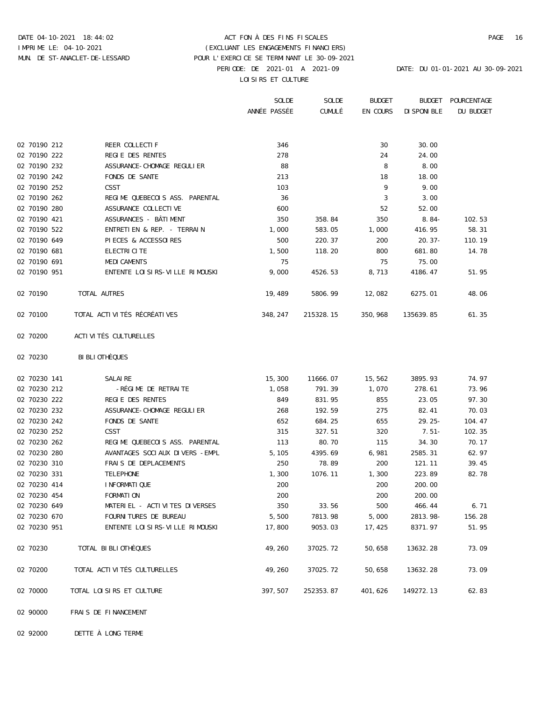### DATE 04-10-2021 18:44:02 ACT FON À DES FINS FISCALES PAGE 16 PERIODE: DE 2021-01 A 2021-09 DATE: DU 01-01-2021 AU 30-09-2021 LOISIRS ET CULTURE IMPRIME LE: 04-10-2021 (EXCLUANT LES ENGAGEMENTS FINANCIERS) MUN. DE ST-ANACLET-DE-LESSARD POUR L'EXERCICE SE TERMINANT LE 30-09-2021

 SOLDE SOLDE BUDGET BUDGET POURCENTAGE ANNÉE PASSÉE CUMULÉ EN COURS DISPONIBLE DU BUDGET 02 70190 212 REER COLLECTIF 346 30 30 30.00 02 70190 222 REGIE DES RENTES 278 24 24.00 02 70190 232 ASSURANCE-CHOMAGE REGULIER 88 8 8.00 02 70190 242 FONDS DE SANTE 213 213 18 18.00 02 70190 252 CSST 103 9 9.00 02 70190 262 REGIME QUEBECOIS ASS. PARENTAL 36 3 3.00 02 70190 280 ASSURANCE COLLECTIVE 600 52 52.00 02 70190 421 ASSURANCES - BÂTIMENT 350 358.84 350 8.84- 102.53 02 70190 522 ENTRETIEN & REP. - TERRAIN 1,000 583.05 1,000 416.95 58.31 02 70190 649 PIECES & ACCESSOIRES 500 220.37 200 20.37- 110.19 02 70190 681 ELECTRICITE 1,500 118.20 800 681.80 14.78 02 70190 691 MEDICAMENTS 75 75 75.00 02 70190 951 ENTENTE LOISIRS-VILLE RIMOUSKI 9,000 4526.53 8,713 4186.47 51.95 02 70190 TOTAL AUTRES 19,489 5806.99 12,082 6275.01 48.06 02 70100 TOTAL ACTIVITÉS RÉCRÉATIVES 348,247 215328.15 350,968 135639.85 61.35

- 02 70200 ACTIVITÉS CULTURELLES
- 02 70230 BIBLIOTHÈQUES

| 02 70230 141 | SALAIRE                        | 15,300  | 11666.07  | 15,562  | 3895.93     | 74.97  |
|--------------|--------------------------------|---------|-----------|---------|-------------|--------|
| 02 70230 212 | -RÉGIME DE RETRAITE            | 1,058   | 791.39    | 1,070   | 278.61      | 73.96  |
| 02 70230 222 | REGIE DES RENTES               | 849     | 831.95    | 855     | 23.05       | 97.30  |
| 02 70230 232 | ASSURANCE-CHOMAGE REGULIER     | 268     | 192.59    | 275     | 82.41       | 70.03  |
| 02 70230 242 | FONDS DE SANTE                 | 652     | 684.25    | 655     | $29.25 -$   | 104.47 |
| 02 70230 252 | CSST                           | 315     | 327.51    | 320     | $7.51-$     | 102.35 |
| 02 70230 262 | REGIME OUEBECOIS ASS. PARENTAL | 113     | 80.70     | 115     | 34.30       | 70.17  |
| 02 70230 280 | AVANTAGES SOCIAUX DIVERS -EMPL | 5,105   | 4395.69   | 6,981   | 2585.31     | 62.97  |
| 02 70230 310 | FRAIS DE DEPLACEMENTS          | 250     | 78.89     | 200     | 121.11      | 39.45  |
| 02 70230 331 | TELEPHONE                      | 1,300   | 1076.11   | 1,300   | 223.89      | 82.78  |
| 02 70230 414 | INFORMATIOUE                   | 200     |           | 200     | 200.00      |        |
| 02 70230 454 | FORMATION                      | 200     |           | 200     | 200.00      |        |
| 02 70230 649 | MATERIEL - ACTIVITES DIVERSES  | 350     | 33.56     | 500     | 466.44      | 6.71   |
| 02 70230 670 | FOURNITURES DE BUREAU          | 5,500   | 7813.98   | 5,000   | $2813.98 -$ | 156.28 |
| 02 70230 951 | ENTENTE LOISIRS-VILLE RIMOUSKI | 17,800  | 9053.03   | 17,425  | 8371.97     | 51.95  |
| 02 70230     | TOTAL BIBLIOTHEOUES            | 49,260  | 37025.72  | 50,658  | 13632.28    | 73.09  |
| 02 70200     | TOTAL ACTIVITÉS CULTURELLES    | 49,260  | 37025.72  | 50,658  | 13632.28    | 73.09  |
| 02 70000     | TOTAL LOISIRS ET CULTURE       | 397,507 | 252353.87 | 401,626 | 149272.13   | 62.83  |

02 90000 FRAIS DE FINANCEMENT

02 92000 DETTE À LONG TERME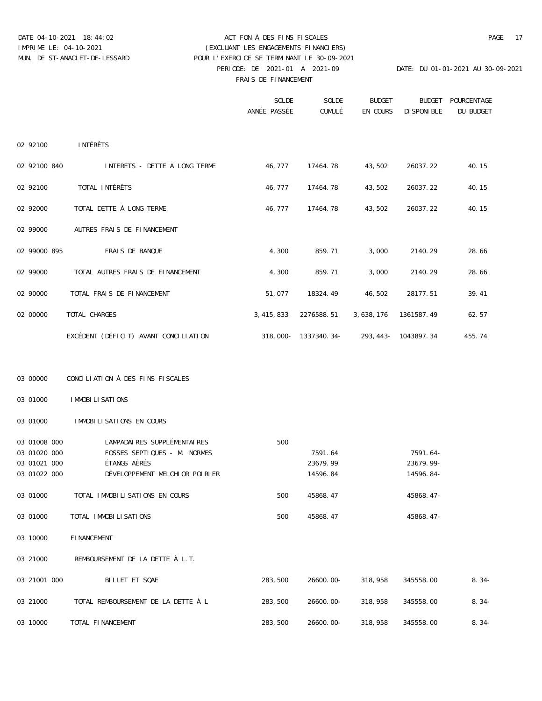### DATE 04-10-2021 18:44:02 ACT FON À DES FINS FISCALES PAGE 17 PERIODE: DE 2021-01 A 2021-09 DATE: DU 01-01-2021 AU 30-09-2021 FRAIS DE FINANCEMENT IMPRIME LE: 04-10-2021 (EXCLUANT LES ENGAGEMENTS FINANCIERS) MUN. DE ST-ANACLET-DE-LESSARD POUR L'EXERCICE SE TERMINANT LE 30-09-2021

|              |                                       | SOLDE<br>ANNÉE PASSÉE | SOLDE<br>CUMULÉ                               | <b>BUDGET</b><br>EN COURS | <b>BUDGET</b><br>DISPONIBLE | POURCENTAGE<br>DU BUDGET |
|--------------|---------------------------------------|-----------------------|-----------------------------------------------|---------------------------|-----------------------------|--------------------------|
| 02 92100     | INTÉRÊTS                              |                       |                                               |                           |                             |                          |
| 02 92100 840 | INTERETS - DETTE A LONG TERME         |                       | 46,777 17464.78 43,502                        |                           | 26037.22                    | 40.15                    |
| 02 92100     | TOTAL INTÉRÊTS                        |                       | 46,777 17464.78 43,502                        |                           | 26037.22                    | 40.15                    |
| 02 92000     | TOTAL DETTE À LONG TERME              |                       | 46,777 17464.78 43,502                        |                           | 26037.22                    | 40.15                    |
| 02 99000     | AUTRES FRAIS DE FINANCEMENT           |                       |                                               |                           |                             |                          |
| 02 99000 895 | FRAIS DE BANQUE                       | 4,300                 | 859.71                                        | 3,000                     | 2140.29                     | 28.66                    |
| 02 99000     | TOTAL AUTRES FRAIS DE FINANCEMENT     | 4,300                 | 859.71                                        | 3,000                     | 2140.29                     | 28.66                    |
| 02 90000     | TOTAL FRAIS DE FINANCEMENT            |                       | 51,077 18324.49 46,502                        |                           | 28177.51                    | 39.41                    |
| 02 00000     | TOTAL CHARGES                         |                       | 3,415,833 2276588.51 3,638,176                |                           | 1361587.49                  | 62.57                    |
|              | EXCÉDENT (DÉFICIT) AVANT CONCILIATION |                       | $318,000 - 1337340.34 - 293,443 - 1043897.34$ |                           |                             | 455.74                   |

### 03 00000 CONCILIATION À DES FINS FISCALES

03 01000 IMMOBILISATIONS

03 01000 IMMOBILISATIONS EN COURS

| 03 01008 000 | LAMPADAIRES SUPPLÉMENTAIRES         | 500     |           |         |              |         |
|--------------|-------------------------------------|---------|-----------|---------|--------------|---------|
| 03 01020 000 | FOSSES SEPTIOUES - M. NORMES        |         | 7591.64   |         | $7591.64-$   |         |
| 03 01021 000 | ÉTANGS AÉRÉS                        |         | 23679.99  |         | $23679.99 -$ |         |
| 03 01022 000 | DÉVELOPPEMENT MELCHIOR POIRIER      |         | 14596.84  |         | 14596.84-    |         |
| 03 01000     | TOTAL IMMOBILISATIONS EN COURS      | 500     | 45868.47  |         | $45868.47-$  |         |
| 03 01000     | TOTAL IMMOBILISATIONS               | 500     | 45868.47  |         | $45868.47-$  |         |
| 03 10000     | FINANCEMENT                         |         |           |         |              |         |
| 03 21000     | REMBOURSEMENT DE LA DETTE À L.T.    |         |           |         |              |         |
| 03 21001 000 | BILLET ET SQAE                      | 283,500 | 26600.00- | 318,958 | 345558.00    | $8.34-$ |
| 03 21000     | TOTAL REMBOURSEMENT DE LA DETTE À L | 283,500 | 26600.00- | 318,958 | 345558.00    | $8.34-$ |
| 03 10000     | TOTAL FINANCEMENT                   | 283,500 | 26600.00- | 318,958 | 345558.00    | $8.34-$ |